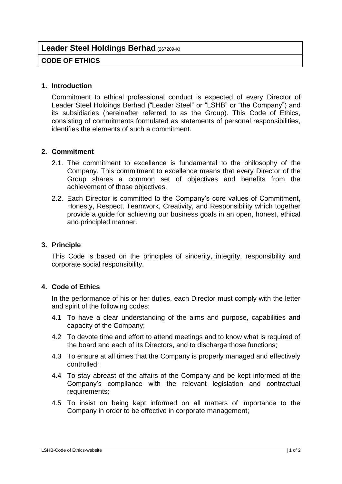# **Leader Steel Holdings Berhad** (267209-K)

# **CODE OF ETHICS**

#### **1. Introduction**

Commitment to ethical professional conduct is expected of every Director of Leader Steel Holdings Berhad ("Leader Steel" or "LSHB" or "the Company") and its subsidiaries (hereinafter referred to as the Group). This Code of Ethics, consisting of commitments formulated as statements of personal responsibilities, identifies the elements of such a commitment.

### **2. Commitment**

- 2.1. The commitment to excellence is fundamental to the philosophy of the Company. This commitment to excellence means that every Director of the Group shares a common set of objectives and benefits from the achievement of those objectives.
- 2.2. Each Director is committed to the Company's core values of Commitment, Honesty, Respect, Teamwork, Creativity, and Responsibility which together provide a guide for achieving our business goals in an open, honest, ethical and principled manner.

### **3. Principle**

This Code is based on the principles of sincerity, integrity, responsibility and corporate social responsibility.

# **4. Code of Ethics**

In the performance of his or her duties, each Director must comply with the letter and spirit of the following codes:

- 4.1 To have a clear understanding of the aims and purpose, capabilities and capacity of the Company;
- 4.2 To devote time and effort to attend meetings and to know what is required of the board and each of its Directors, and to discharge those functions;
- 4.3 To ensure at all times that the Company is properly managed and effectively controlled;
- 4.4 To stay abreast of the affairs of the Company and be kept informed of the Company's compliance with the relevant legislation and contractual requirements;
- 4.5 To insist on being kept informed on all matters of importance to the Company in order to be effective in corporate management;